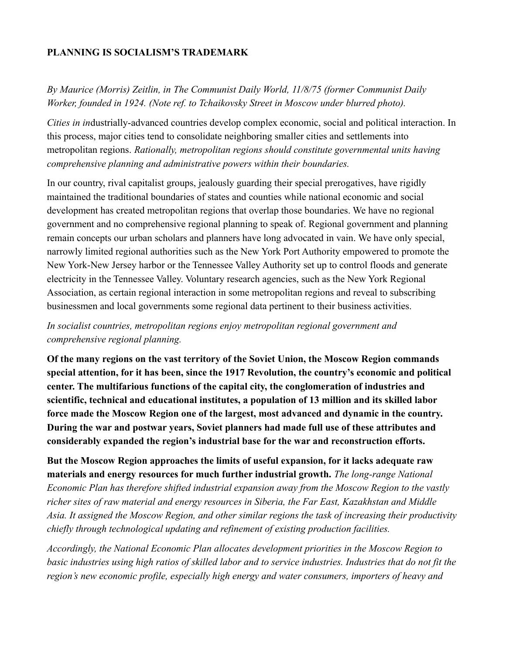#### **PLANNING IS SOCIALISM'S TRADEMARK**

# *By Maurice (Morris) Zeitlin, in The Communist Daily World, 11/8/75 (former Communist Daily Worker, founded in 1924. (Note ref. to Tchaikovsky Street in Moscow under blurred photo).*

*Cities in in*dustrially-advanced countries develop complex economic, social and political interaction. In this process, major cities tend to consolidate neighboring smaller cities and settlements into metropolitan regions. *Rationally, metropolitan regions should constitute governmental units having comprehensive planning and administrative powers within their boundaries.*

In our country, rival capitalist groups, jealously guarding their special prerogatives, have rigidly maintained the traditional boundaries of states and counties while national economic and social development has created metropolitan regions that overlap those boundaries. We have no regional government and no comprehensive regional planning to speak of. Regional government and planning remain concepts our urban scholars and planners have long advocated in vain. We have only special, narrowly limited regional authorities such as the New York Port Authority empowered to promote the New York-New Jersey harbor or the Tennessee Valley Authority set up to control floods and generate electricity in the Tennessee Valley. Voluntary research agencies, such as the New York Regional Association, as certain regional interaction in some metropolitan regions and reveal to subscribing businessmen and local governments some regional data pertinent to their business activities.

### *In socialist countries, metropolitan regions enjoy metropolitan regional government and comprehensive regional planning.*

**Of the many regions on the vast territory of the Soviet Union, the Moscow Region commands special attention, for it has been, since the 1917 Revolution, the country's economic and political center. The multifarious functions of the capital city, the conglomeration of industries and scientific, technical and educational institutes, a population of 13 million and its skilled labor force made the Moscow Region one of the largest, most advanced and dynamic in the country. During the war and postwar years, Soviet planners had made full use of these attributes and considerably expanded the region's industrial base for the war and reconstruction efforts.**

## **But the Moscow Region approaches the limits of useful expansion, for it lacks adequate raw materials and energy resources for much further industrial growth.** *The long-range National*

*Economic Plan has therefore shifted industrial expansion away from the Moscow Region to the vastly richer sites of raw material and energy resources in Siberia, the Far East, Kazakhstan and Middle Asia. It assigned the Moscow Region, and other similar regions the task of increasing their productivity chiefly through technological updating and refinement of existing production facilities.*

*Accordingly, the National Economic Plan allocates development priorities in the Moscow Region to basic industries using high ratios of skilled labor and to service industries. Industries that do not fit the region's new economic profile, especially high energy and water consumers, importers of heavy and*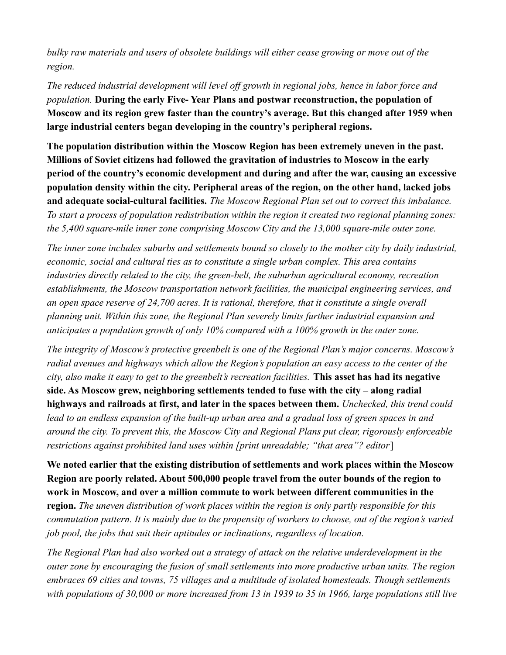*bulky raw materials and users of obsolete buildings will either cease growing or move out of the region.* 

*The reduced industrial development will level off growth in regional jobs, hence in labor force and population.* **During the early Five- Year Plans and postwar reconstruction, the population of Moscow and its region grew faster than the country's average. But this changed after 1959 when large industrial centers began developing in the country's peripheral regions.**

**The population distribution within the Moscow Region has been extremely uneven in the past. Millions of Soviet citizens had followed the gravitation of industries to Moscow in the early period of the country's economic development and during and after the war, causing an excessive population density within the city. Peripheral areas of the region, on the other hand, lacked jobs and adequate social-cultural facilities.** *The Moscow Regional Plan set out to correct this imbalance. To start a process of population redistribution within the region it created two regional planning zones: the 5,400 square-mile inner zone comprising Moscow City and the 13,000 square-mile outer zone.*

*The inner zone includes suburbs and settlements bound so closely to the mother city by daily industrial, economic, social and cultural ties as to constitute a single urban complex. This area contains industries directly related to the city, the green-belt, the suburban agricultural economy, recreation establishments, the Moscow transportation network facilities, the municipal engineering services, and an open space reserve of 24,700 acres. It is rational, therefore, that it constitute a single overall planning unit. Within this zone, the Regional Plan severely limits further industrial expansion and anticipates a population growth of only 10% compared with a 100% growth in the outer zone.*

*The integrity of Moscow's protective greenbelt is one of the Regional Plan's major concerns. Moscow's radial avenues and highways which allow the Region's population an easy access to the center of the city, also make it easy to get to the greenbelt's recreation facilities.* **This asset has had its negative side. As Moscow grew, neighboring settlements tended to fuse with the city – along radial highways and railroads at first, and later in the spaces between them.** *Unchecked, this trend could lead to an endless expansion of the built-up urban area and a gradual loss of green spaces in and around the city. To prevent this, the Moscow City and Regional Plans put clear, rigorously enforceable restrictions against prohibited land uses within [print unreadable; "that area"? editor*]

**We noted earlier that the existing distribution of settlements and work places within the Moscow Region are poorly related. About 500,000 people travel from the outer bounds of the region to work in Moscow, and over a million commute to work between different communities in the** 

**region.** *The uneven distribution of work places within the region is only partly responsible for this commutation pattern. It is mainly due to the propensity of workers to choose, out of the region's varied job pool, the jobs that suit their aptitudes or inclinations, regardless of location.*

*The Regional Plan had also worked out a strategy of attack on the relative underdevelopment in the outer zone by encouraging the fusion of small settlements into more productive urban units. The region embraces 69 cities and towns, 75 villages and a multitude of isolated homesteads. Though settlements with populations of 30,000 or more increased from 13 in 1939 to 35 in 1966, large populations still live*